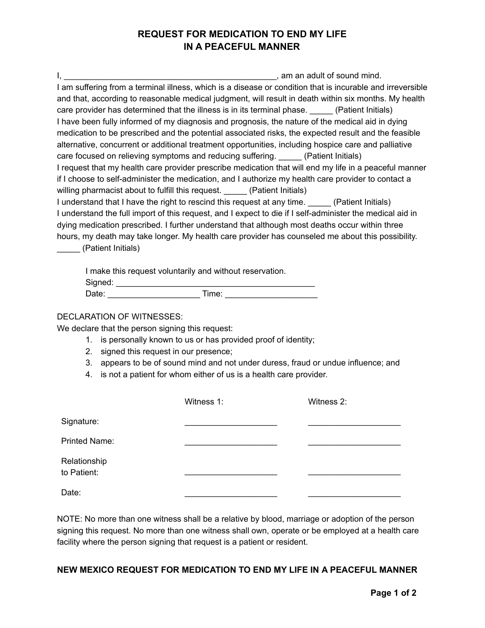## **REQUEST FOR MEDICATION TO END MY LIFE IN A PEACEFUL MANNER**

I, \_\_\_\_\_\_\_\_\_\_\_\_\_\_\_\_\_\_\_\_\_\_\_\_\_\_\_\_\_\_\_\_\_\_\_\_\_\_\_\_\_\_\_\_\_\_, am an adult of sound mind. I am suffering from a terminal illness, which is a disease or condition that is incurable and irreversible and that, according to reasonable medical judgment, will result in death within six months. My health care provider has determined that the illness is in its terminal phase. (Patient Initials) I have been fully informed of my diagnosis and prognosis, the nature of the medical aid in dying medication to be prescribed and the potential associated risks, the expected result and the feasible alternative, concurrent or additional treatment opportunities, including hospice care and palliative care focused on relieving symptoms and reducing suffering. (Patient Initials) I request that my health care provider prescribe medication that will end my life in a peaceful manner if I choose to self-administer the medication, and I authorize my health care provider to contact a willing pharmacist about to fulfill this request. \_\_\_\_\_ (Patient Initials) I understand that I have the right to rescind this request at any time. (Patient Initials) I understand the full import of this request, and I expect to die if I self-administer the medical aid in dying medication prescribed. I further understand that although most deaths occur within three hours, my death may take longer. My health care provider has counseled me about this possibility. \_\_\_\_\_ (Patient Initials)

| I make this request voluntarily and without reservation. |       |
|----------------------------------------------------------|-------|
| Signed:                                                  |       |
| Date:                                                    | Time: |

## DECLARATION OF WITNESSES:

We declare that the person signing this request:

- 1. is personally known to us or has provided proof of identity;
- 2. signed this request in our presence;
- 3. appears to be of sound mind and not under duress, fraud or undue influence; and
- 4. is not a patient for whom either of us is a health care provider.

|                             | Witness 1: | Witness 2: |
|-----------------------------|------------|------------|
| Signature:                  |            |            |
| <b>Printed Name:</b>        |            |            |
| Relationship<br>to Patient: |            |            |
| Date:                       |            |            |

NOTE: No more than one witness shall be a relative by blood, marriage or adoption of the person signing this request. No more than one witness shall own, operate or be employed at a health care facility where the person signing that request is a patient or resident.

## **NEW MEXICO REQUEST FOR MEDICATION TO END MY LIFE IN A PEACEFUL MANNER**